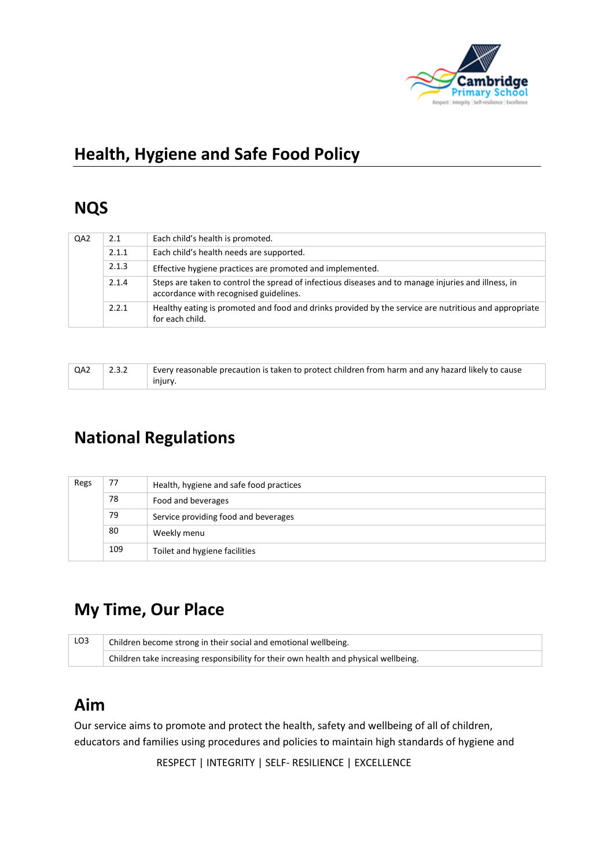

# **Health, Hygiene and Safe Food Policy**

### **NQS**

| QA <sub>2</sub> | 2.1   | Each child's health is promoted.                                                                                                              |
|-----------------|-------|-----------------------------------------------------------------------------------------------------------------------------------------------|
|                 | 2.1.1 | Each child's health needs are supported.                                                                                                      |
|                 | 2.1.3 | Effective hygiene practices are promoted and implemented.                                                                                     |
|                 | 2.1.4 | Steps are taken to control the spread of infectious diseases and to manage injuries and illness, in<br>accordance with recognised guidelines. |
|                 | 2.2.1 | Healthy eating is promoted and food and drinks provided by the service are nutritious and appropriate<br>for each child.                      |

| QA2 | 2.3.2 | Every reasonable precaution is taken to protect children from harm and any hazard likely to cause |  |
|-----|-------|---------------------------------------------------------------------------------------------------|--|
|     |       | injury.                                                                                           |  |

# **National Regulations**

| Regs | 77  | Health, hygiene and safe food practices |
|------|-----|-----------------------------------------|
|      | 78  | Food and beverages                      |
|      | 79  | Service providing food and beverages    |
|      | 80  | Weekly menu                             |
|      | 109 | Toilet and hygiene facilities           |

# **My Time, Our Place**

| LO3 | Children become strong in their social and emotional wellbeing.                      |  |  |
|-----|--------------------------------------------------------------------------------------|--|--|
|     | Children take increasing responsibility for their own health and physical wellbeing. |  |  |

## **Aim**

Our service aims to promote and protect the health, safety and wellbeing of all of children, educators and families using procedures and policies to maintain high standards of hygiene and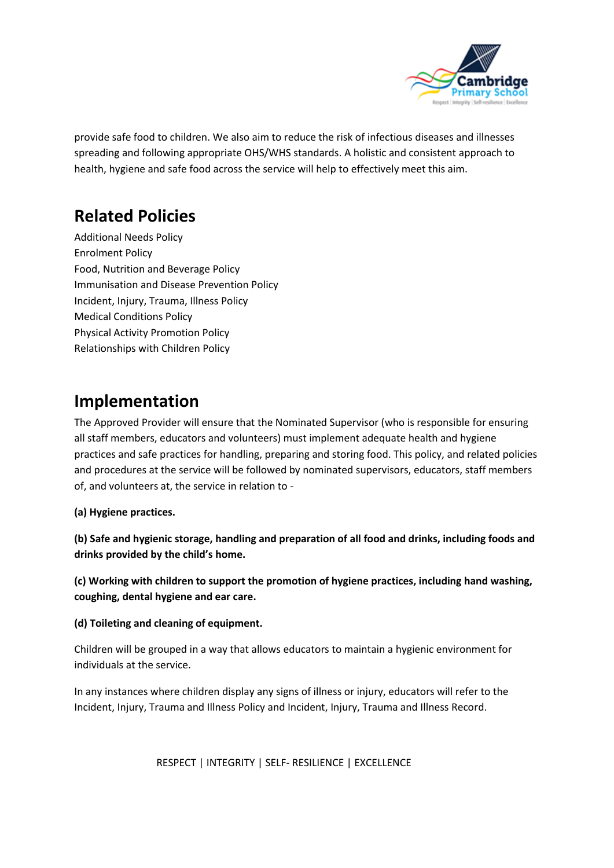

provide safe food to children. We also aim to reduce the risk of infectious diseases and illnesses spreading and following appropriate OHS/WHS standards. A holistic and consistent approach to health, hygiene and safe food across the service will help to effectively meet this aim.

# **Related Policies**

Additional Needs Policy Enrolment Policy Food, Nutrition and Beverage Policy Immunisation and Disease Prevention Policy Incident, Injury, Trauma, Illness Policy Medical Conditions Policy Physical Activity Promotion Policy Relationships with Children Policy

## **Implementation**

The Approved Provider will ensure that the Nominated Supervisor (who is responsible for ensuring all staff members, educators and volunteers) must implement adequate health and hygiene practices and safe practices for handling, preparing and storing food. This policy, and related policies and procedures at the service will be followed by nominated supervisors, educators, staff members of, and volunteers at, the service in relation to -

**(a) Hygiene practices.**

**(b) Safe and hygienic storage, handling and preparation of all food and drinks, including foods and drinks provided by the child's home.**

**(c) Working with children to support the promotion of hygiene practices, including hand washing, coughing, dental hygiene and ear care.**

### **(d) Toileting and cleaning of equipment.**

Children will be grouped in a way that allows educators to maintain a hygienic environment for individuals at the service.

In any instances where children display any signs of illness or injury, educators will refer to the Incident, Injury, Trauma and Illness Policy and Incident, Injury, Trauma and Illness Record.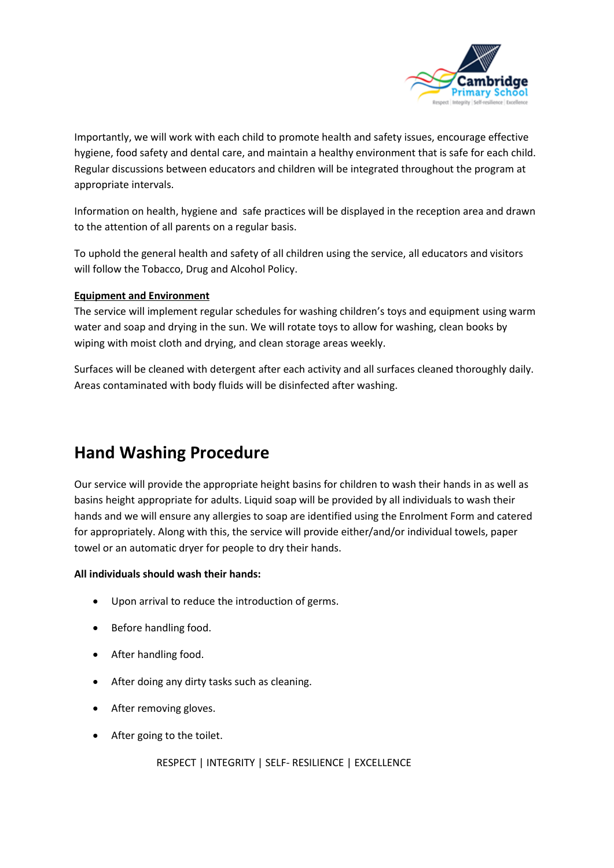

Importantly, we will work with each child to promote health and safety issues, encourage effective hygiene, food safety and dental care, and maintain a healthy environment that is safe for each child. Regular discussions between educators and children will be integrated throughout the program at appropriate intervals.

Information on health, hygiene and safe practices will be displayed in the reception area and drawn to the attention of all parents on a regular basis.

To uphold the general health and safety of all children using the service, all educators and visitors will follow the Tobacco, Drug and Alcohol Policy.

### **Equipment and Environment**

The service will implement regular schedules for washing children's toys and equipment using warm water and soap and drying in the sun. We will rotate toys to allow for washing, clean books by wiping with moist cloth and drying, and clean storage areas weekly.

Surfaces will be cleaned with detergent after each activity and all surfaces cleaned thoroughly daily. Areas contaminated with body fluids will be disinfected after washing.

### **Hand Washing Procedure**

Our service will provide the appropriate height basins for children to wash their hands in as well as basins height appropriate for adults. Liquid soap will be provided by all individuals to wash their hands and we will ensure any allergies to soap are identified using the Enrolment Form and catered for appropriately. Along with this, the service will provide either/and/or individual towels, paper towel or an automatic dryer for people to dry their hands.

#### **All individuals should wash their hands:**

- Upon arrival to reduce the introduction of germs.
- Before handling food.
- After handling food.
- After doing any dirty tasks such as cleaning.
- After removing gloves.
- After going to the toilet.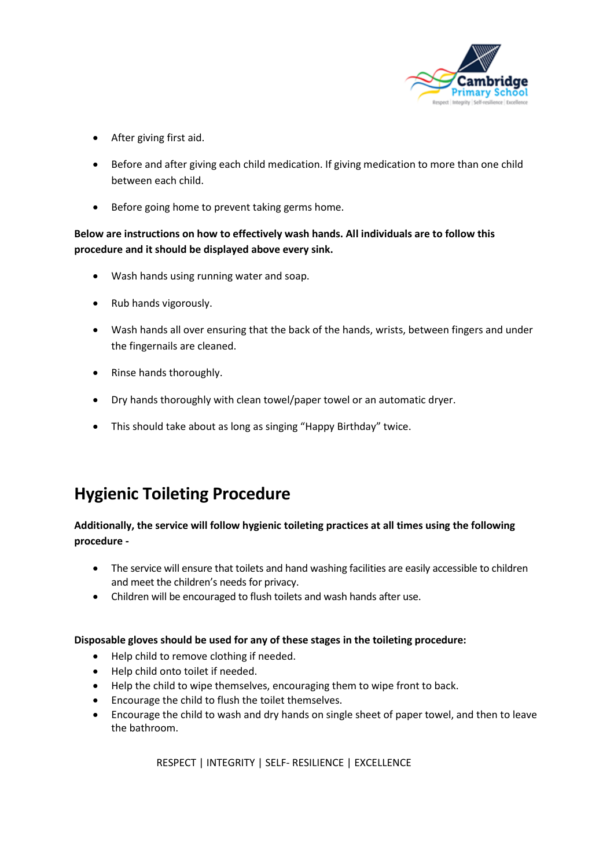

- After giving first aid.
- Before and after giving each child medication. If giving medication to more than one child between each child.
- Before going home to prevent taking germs home.

**Below are instructions on how to effectively wash hands. All individuals are to follow this procedure and it should be displayed above every sink.**

- Wash hands using running water and soap.
- Rub hands vigorously.
- Wash hands all over ensuring that the back of the hands, wrists, between fingers and under the fingernails are cleaned.
- Rinse hands thoroughly.
- Dry hands thoroughly with clean towel/paper towel or an automatic dryer.
- This should take about as long as singing "Happy Birthday" twice.

## **Hygienic Toileting Procedure**

### **Additionally, the service will follow hygienic toileting practices at all times using the following procedure -**

- The service will ensure that toilets and hand washing facilities are easily accessible to children and meet the children's needs for privacy.
- Children will be encouraged to flush toilets and wash hands after use.

### **Disposable gloves should be used for any of these stages in the toileting procedure:**

- Help child to remove clothing if needed.
- Help child onto toilet if needed.
- Help the child to wipe themselves, encouraging them to wipe front to back.
- Encourage the child to flush the toilet themselves.
- Encourage the child to wash and dry hands on single sheet of paper towel, and then to leave the bathroom.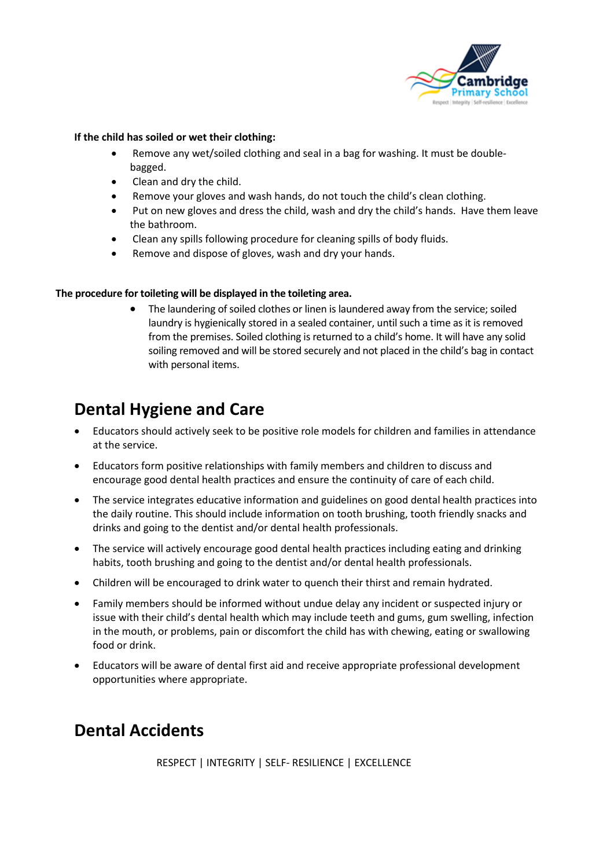

#### **If the child has soiled or wet their clothing:**

- Remove any wet/soiled clothing and seal in a bag for washing. It must be doublebagged.
- Clean and dry the child.
- Remove your gloves and wash hands, do not touch the child's clean clothing.
- Put on new gloves and dress the child, wash and dry the child's hands. Have them leave the bathroom.
- Clean any spills following procedure for cleaning spills of body fluids.
- Remove and dispose of gloves, wash and dry your hands.

#### **The procedure for toileting will be displayed in the toileting area.**

• The laundering of soiled clothes or linen is laundered away from the service; soiled laundry is hygienically stored in a sealed container, until such a time as it is removed from the premises. Soiled clothing is returned to a child's home. It will have any solid soiling removed and will be stored securely and not placed in the child's bag in contact with personal items.

### **Dental Hygiene and Care**

- Educators should actively seek to be positive role models for children and families in attendance at the service.
- Educators form positive relationships with family members and children to discuss and encourage good dental health practices and ensure the continuity of care of each child.
- The service integrates educative information and guidelines on good dental health practices into the daily routine. This should include information on tooth brushing, tooth friendly snacks and drinks and going to the dentist and/or dental health professionals.
- The service will actively encourage good dental health practices including eating and drinking habits, tooth brushing and going to the dentist and/or dental health professionals.
- Children will be encouraged to drink water to quench their thirst and remain hydrated.
- Family members should be informed without undue delay any incident or suspected injury or issue with their child's dental health which may include teeth and gums, gum swelling, infection in the mouth, or problems, pain or discomfort the child has with chewing, eating or swallowing food or drink.
- Educators will be aware of dental first aid and receive appropriate professional development opportunities where appropriate.

## **Dental Accidents**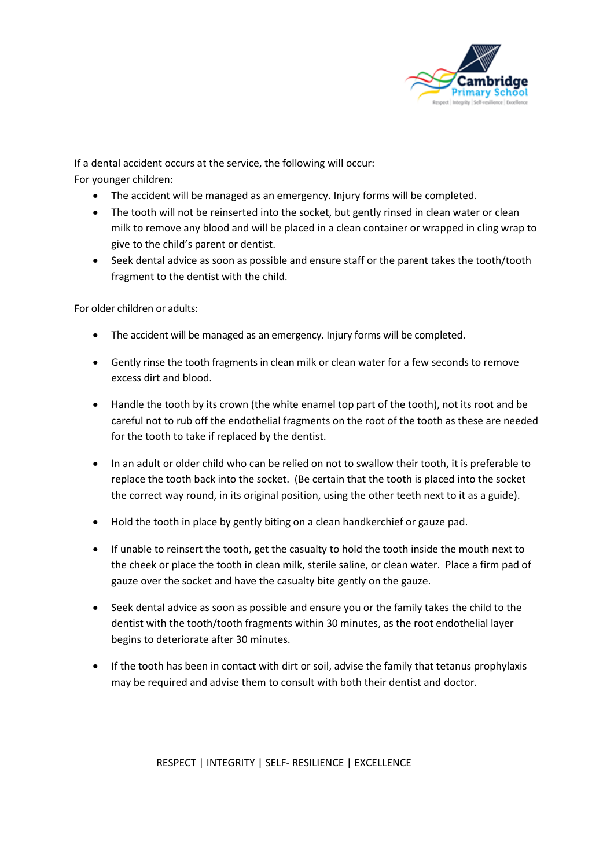

If a dental accident occurs at the service, the following will occur: For younger children:

- The accident will be managed as an emergency. Injury forms will be completed.
- The tooth will not be reinserted into the socket, but gently rinsed in clean water or clean milk to remove any blood and will be placed in a clean container or wrapped in cling wrap to give to the child's parent or dentist.
- Seek dental advice as soon as possible and ensure staff or the parent takes the tooth/tooth fragment to the dentist with the child.

For older children or adults:

- The accident will be managed as an emergency. Injury forms will be completed.
- Gently rinse the tooth fragments in clean milk or clean water for a few seconds to remove excess dirt and blood.
- Handle the tooth by its crown (the white enamel top part of the tooth), not its root and be careful not to rub off the endothelial fragments on the root of the tooth as these are needed for the tooth to take if replaced by the dentist.
- In an adult or older child who can be relied on not to swallow their tooth, it is preferable to replace the tooth back into the socket. (Be certain that the tooth is placed into the socket the correct way round, in its original position, using the other teeth next to it as a guide).
- Hold the tooth in place by gently biting on a clean handkerchief or gauze pad.
- If unable to reinsert the tooth, get the casualty to hold the tooth inside the mouth next to the cheek or place the tooth in clean milk, sterile saline, or clean water. Place a firm pad of gauze over the socket and have the casualty bite gently on the gauze.
- Seek dental advice as soon as possible and ensure you or the family takes the child to the dentist with the tooth/tooth fragments within 30 minutes, as the root endothelial layer begins to deteriorate after 30 minutes.
- If the tooth has been in contact with dirt or soil, advise the family that tetanus prophylaxis may be required and advise them to consult with both their dentist and doctor.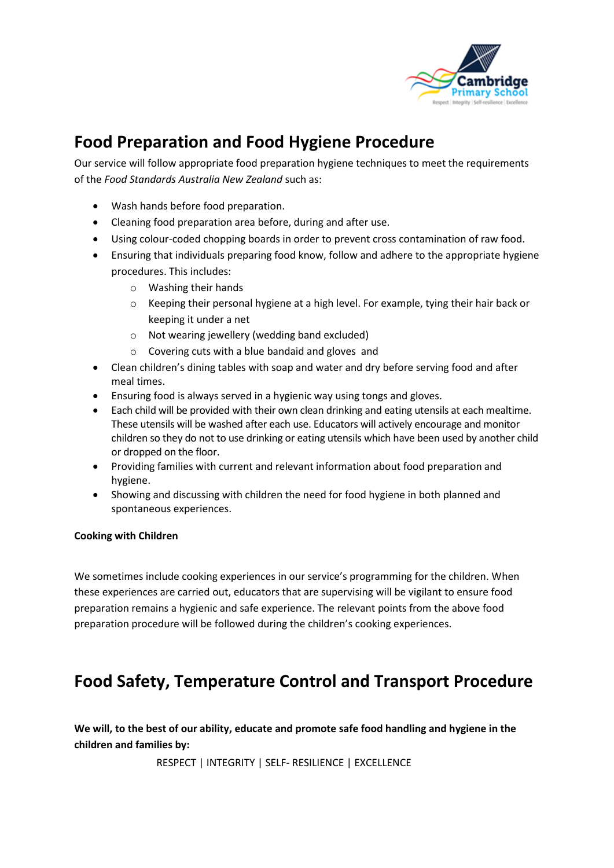

# **Food Preparation and Food Hygiene Procedure**

Our service will follow appropriate food preparation hygiene techniques to meet the requirements of the *Food Standards Australia New Zealand* such as:

- Wash hands before food preparation.
- Cleaning food preparation area before, during and after use.
- Using colour-coded chopping boards in order to prevent cross contamination of raw food.
- Ensuring that individuals preparing food know, follow and adhere to the appropriate hygiene procedures. This includes:
	- o Washing their hands
	- o Keeping their personal hygiene at a high level. For example, tying their hair back or keeping it under a net
	- o Not wearing jewellery (wedding band excluded)
	- o Covering cuts with a blue bandaid and gloves and
- Clean children's dining tables with soap and water and dry before serving food and after meal times.
- Ensuring food is always served in a hygienic way using tongs and gloves.
- Each child will be provided with their own clean drinking and eating utensils at each mealtime. These utensils will be washed after each use. Educators will actively encourage and monitor children so they do not to use drinking or eating utensils which have been used by another child or dropped on the floor.
- Providing families with current and relevant information about food preparation and hygiene.
- Showing and discussing with children the need for food hygiene in both planned and spontaneous experiences.

### **Cooking with Children**

We sometimes include cooking experiences in our service's programming for the children. When these experiences are carried out, educators that are supervising will be vigilant to ensure food preparation remains a hygienic and safe experience. The relevant points from the above food preparation procedure will be followed during the children's cooking experiences.

## **Food Safety, Temperature Control and Transport Procedure**

**We will, to the best of our ability, educate and promote safe food handling and hygiene in the children and families by:**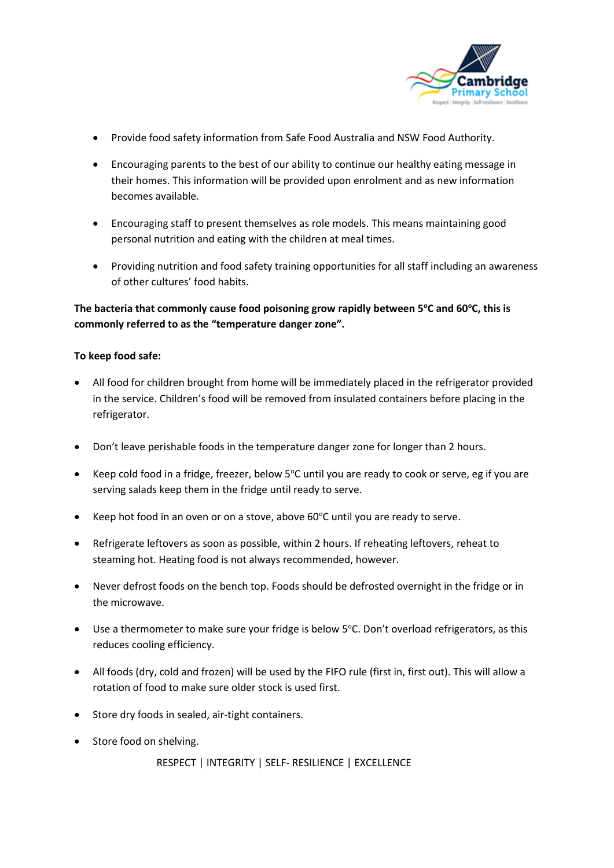

- Provide food safety information from Safe Food Australia and NSW Food Authority.
- Encouraging parents to the best of our ability to continue our healthy eating message in their homes. This information will be provided upon enrolment and as new information becomes available.
- Encouraging staff to present themselves as role models. This means maintaining good personal nutrition and eating with the children at meal times.
- Providing nutrition and food safety training opportunities for all staff including an awareness of other cultures' food habits.

### **The bacteria that commonly cause food poisoning grow rapidly between 5<sup>o</sup>C and 60<sup>o</sup>C, this is commonly referred to as the "temperature danger zone".**

### **To keep food safe:**

- All food for children brought from home will be immediately placed in the refrigerator provided in the service. Children's food will be removed from insulated containers before placing in the refrigerator.
- Don't leave perishable foods in the temperature danger zone for longer than 2 hours.
- Keep cold food in a fridge, freezer, below 5°C until you are ready to cook or serve, eg if you are serving salads keep them in the fridge until ready to serve.
- Keep hot food in an oven or on a stove, above  $60^{\circ}$ C until you are ready to serve.
- Refrigerate leftovers as soon as possible, within 2 hours. If reheating leftovers, reheat to steaming hot. Heating food is not always recommended, however.
- Never defrost foods on the bench top. Foods should be defrosted overnight in the fridge or in the microwave.
- Use a thermometer to make sure your fridge is below 5°C. Don't overload refrigerators, as this reduces cooling efficiency.
- All foods (dry, cold and frozen) will be used by the FIFO rule (first in, first out). This will allow a rotation of food to make sure older stock is used first.
- Store dry foods in sealed, air-tight containers.
- Store food on shelving.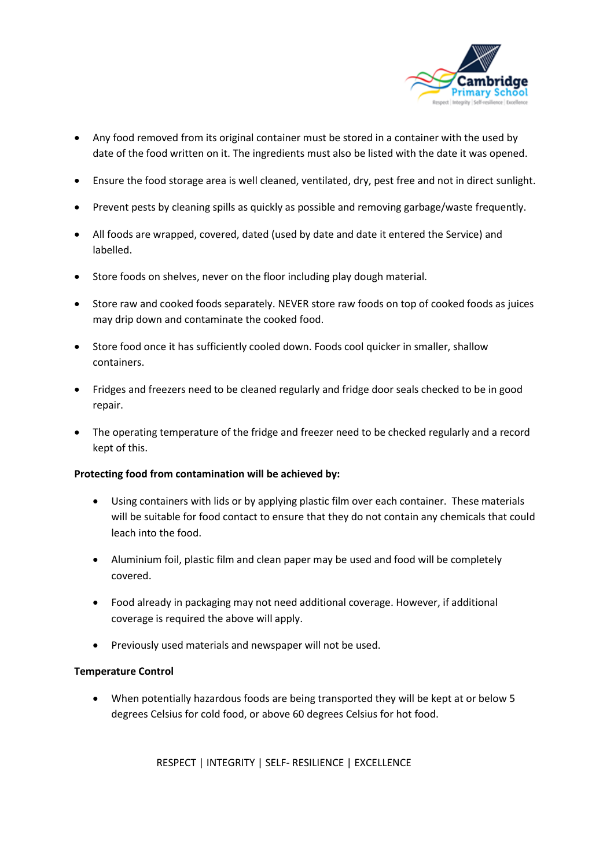

- Any food removed from its original container must be stored in a container with the used by date of the food written on it. The ingredients must also be listed with the date it was opened.
- Ensure the food storage area is well cleaned, ventilated, dry, pest free and not in direct sunlight.
- Prevent pests by cleaning spills as quickly as possible and removing garbage/waste frequently.
- All foods are wrapped, covered, dated (used by date and date it entered the Service) and labelled.
- Store foods on shelves, never on the floor including play dough material.
- Store raw and cooked foods separately. NEVER store raw foods on top of cooked foods as juices may drip down and contaminate the cooked food.
- Store food once it has sufficiently cooled down. Foods cool quicker in smaller, shallow containers.
- Fridges and freezers need to be cleaned regularly and fridge door seals checked to be in good repair.
- The operating temperature of the fridge and freezer need to be checked regularly and a record kept of this.

### **Protecting food from contamination will be achieved by:**

- Using containers with lids or by applying plastic film over each container. These materials will be suitable for food contact to ensure that they do not contain any chemicals that could leach into the food.
- Aluminium foil, plastic film and clean paper may be used and food will be completely covered.
- Food already in packaging may not need additional coverage. However, if additional coverage is required the above will apply.
- Previously used materials and newspaper will not be used.

### **Temperature Control**

• When potentially hazardous foods are being transported they will be kept at or below 5 degrees Celsius for cold food, or above 60 degrees Celsius for hot food.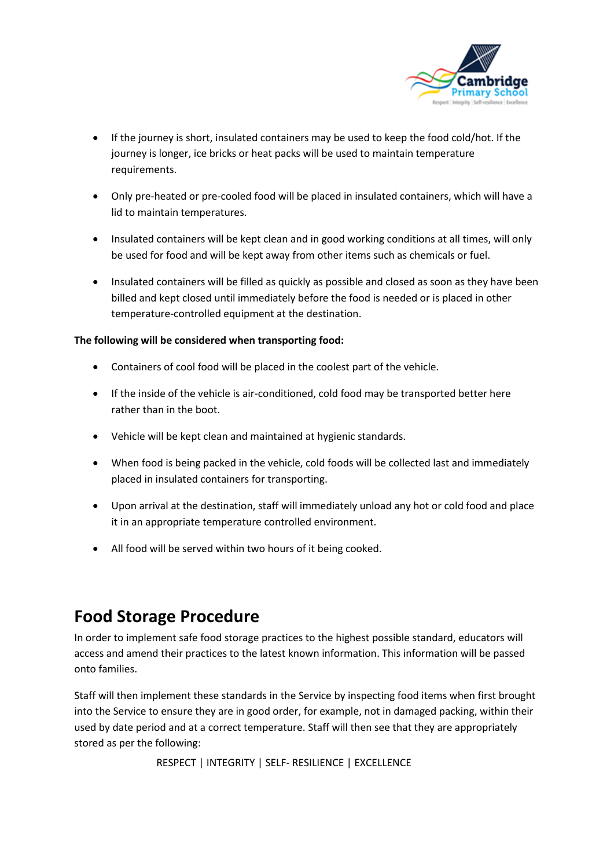

- If the journey is short, insulated containers may be used to keep the food cold/hot. If the journey is longer, ice bricks or heat packs will be used to maintain temperature requirements.
- Only pre-heated or pre-cooled food will be placed in insulated containers, which will have a lid to maintain temperatures.
- Insulated containers will be kept clean and in good working conditions at all times, will only be used for food and will be kept away from other items such as chemicals or fuel.
- Insulated containers will be filled as quickly as possible and closed as soon as they have been billed and kept closed until immediately before the food is needed or is placed in other temperature-controlled equipment at the destination.

### **The following will be considered when transporting food:**

- Containers of cool food will be placed in the coolest part of the vehicle.
- If the inside of the vehicle is air-conditioned, cold food may be transported better here rather than in the boot.
- Vehicle will be kept clean and maintained at hygienic standards.
- When food is being packed in the vehicle, cold foods will be collected last and immediately placed in insulated containers for transporting.
- Upon arrival at the destination, staff will immediately unload any hot or cold food and place it in an appropriate temperature controlled environment.
- All food will be served within two hours of it being cooked.

### **Food Storage Procedure**

In order to implement safe food storage practices to the highest possible standard, educators will access and amend their practices to the latest known information. This information will be passed onto families.

Staff will then implement these standards in the Service by inspecting food items when first brought into the Service to ensure they are in good order, for example, not in damaged packing, within their used by date period and at a correct temperature. Staff will then see that they are appropriately stored as per the following:

```
 RESPECT | INTEGRITY | SELF- RESILIENCE | EXCELLENCE
```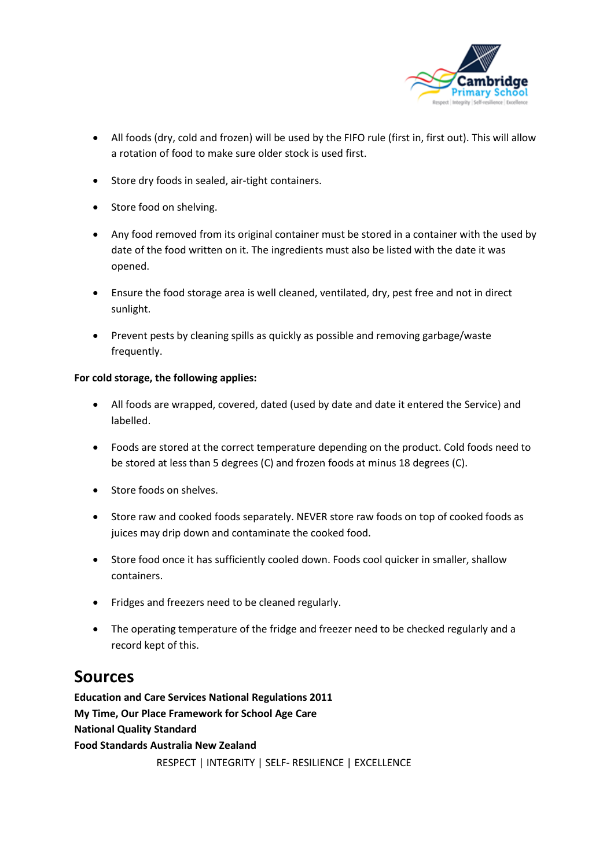

- All foods (dry, cold and frozen) will be used by the FIFO rule (first in, first out). This will allow a rotation of food to make sure older stock is used first.
- Store dry foods in sealed, air-tight containers.
- Store food on shelving.
- Any food removed from its original container must be stored in a container with the used by date of the food written on it. The ingredients must also be listed with the date it was opened.
- Ensure the food storage area is well cleaned, ventilated, dry, pest free and not in direct sunlight.
- Prevent pests by cleaning spills as quickly as possible and removing garbage/waste frequently.

#### **For cold storage, the following applies:**

- All foods are wrapped, covered, dated (used by date and date it entered the Service) and labelled.
- Foods are stored at the correct temperature depending on the product. Cold foods need to be stored at less than 5 degrees (C) and frozen foods at minus 18 degrees (C).
- Store foods on shelves.
- Store raw and cooked foods separately. NEVER store raw foods on top of cooked foods as juices may drip down and contaminate the cooked food.
- Store food once it has sufficiently cooled down. Foods cool quicker in smaller, shallow containers.
- Fridges and freezers need to be cleaned regularly.
- The operating temperature of the fridge and freezer need to be checked regularly and a record kept of this.

### **Sources**

 RESPECT | INTEGRITY | SELF- RESILIENCE | EXCELLENCE **Education and Care Services National Regulations 2011 My Time, Our Place Framework for School Age Care National Quality Standard Food Standards Australia New Zealand**